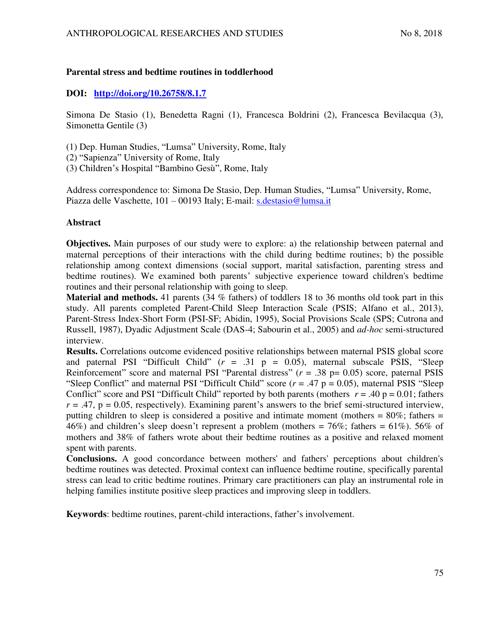## **Parental stress and bedtime routines in toddlerhood**

# **DOI: <http://doi.org/10.26758/8.1.7>**

Simona De Stasio (1), Benedetta Ragni (1), Francesca Boldrini (2), Francesca Bevilacqua (3), Simonetta Gentile (3)

- (1) Dep. Human Studies, "Lumsa" University, Rome, Italy
- (2) "Sapienza" University of Rome, Italy
- (3) Children's Hospital "Bambino Gesù", Rome, Italy

Address correspondence to: Simona De Stasio, Dep. Human Studies, "Lumsa" University, Rome, Piazza delle Vaschette, 101 – 00193 Italy; E-mail: [s.destasio@lumsa.it](mailto:s.destasio@lumsa.it) 

## **Abstract**

**Objectives.** Main purposes of our study were to explore: a) the relationship between paternal and maternal perceptions of their interactions with the child during bedtime routines; b) the possible relationship among context dimensions (social support, marital satisfaction, parenting stress and bedtime routines). We examined both parents' subjective experience toward children's bedtime routines and their personal relationship with going to sleep.

**Material and methods.** 41 parents (34 % fathers) of toddlers 18 to 36 months old took part in this study. All parents completed Parent-Child Sleep Interaction Scale (PSIS; Alfano et al., 2013), Parent-Stress Index-Short Form (PSI-SF; Abidin, 1995), Social Provisions Scale (SPS; Cutrona and Russell, 1987), Dyadic Adjustment Scale (DAS-4; Sabourin et al., 2005) and *ad-hoc* semi-structured interview.

**Results.** Correlations outcome evidenced positive relationships between maternal PSIS global score and paternal PSI "Difficult Child"  $(r = .31 \text{ p} = 0.05)$ , maternal subscale PSIS, "Sleep Reinforcement" score and maternal PSI "Parental distress" ( $r = .38$  p= 0.05) score, paternal PSIS "Sleep Conflict" and maternal PSI "Difficult Child" score (*r* = .47 p = 0.05), maternal PSIS "Sleep Conflict" score and PSI "Difficult Child" reported by both parents (mothers  $r = .40$  p = 0.01; fathers  $r = .47$ ,  $p = 0.05$ , respectively). Examining parent's answers to the brief semi-structured interview, putting children to sleep is considered a positive and intimate moment (mothers = 80%; fathers = 46%) and children's sleep doesn't represent a problem (mothers =  $76\%$ ; fathers =  $61\%$ ). 56% of mothers and 38% of fathers wrote about their bedtime routines as a positive and relaxed moment spent with parents.

**Conclusions.** A good concordance between mothers' and fathers' perceptions about children's bedtime routines was detected. Proximal context can influence bedtime routine, specifically parental stress can lead to critic bedtime routines. Primary care practitioners can play an instrumental role in helping families institute positive sleep practices and improving sleep in toddlers.

**Keywords**: bedtime routines, parent-child interactions, father's involvement.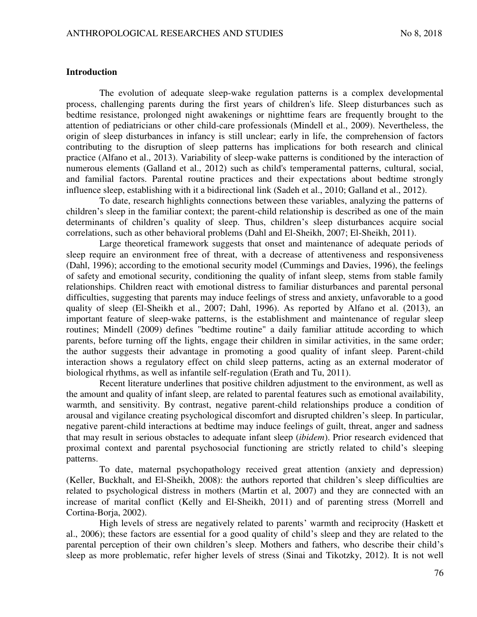#### **Introduction**

The evolution of adequate sleep-wake regulation patterns is a complex developmental process, challenging parents during the first years of children's life. Sleep disturbances such as bedtime resistance, prolonged night awakenings or nighttime fears are frequently brought to the attention of pediatricians or other child-care professionals (Mindell et al., 2009). Nevertheless, the origin of sleep disturbances in infancy is still unclear; early in life, the comprehension of factors contributing to the disruption of sleep patterns has implications for both research and clinical practice (Alfano et al., 2013). Variability of sleep-wake patterns is conditioned by the interaction of numerous elements (Galland et al., 2012) such as child's temperamental patterns, cultural, social, and familial factors. Parental routine practices and their expectations about bedtime strongly influence sleep, establishing with it a bidirectional link (Sadeh et al., 2010; Galland et al., 2012).

To date, research highlights connections between these variables, analyzing the patterns of children's sleep in the familiar context; the parent-child relationship is described as one of the main determinants of children's quality of sleep. Thus, children's sleep disturbances acquire social correlations, such as other behavioral problems (Dahl and El-Sheikh, 2007; El-Sheikh, 2011).

Large theoretical framework suggests that onset and maintenance of adequate periods of sleep require an environment free of threat, with a decrease of attentiveness and responsiveness (Dahl, 1996); according to the emotional security model (Cummings and Davies, 1996), the feelings of safety and emotional security, conditioning the quality of infant sleep, stems from stable family relationships. Children react with emotional distress to familiar disturbances and parental personal difficulties, suggesting that parents may induce feelings of stress and anxiety, unfavorable to a good quality of sleep (El-Sheikh et al., 2007; Dahl, 1996). As reported by Alfano et al. (2013), an important feature of sleep-wake patterns, is the establishment and maintenance of regular sleep routines; Mindell (2009) defines "bedtime routine" a daily familiar attitude according to which parents, before turning off the lights, engage their children in similar activities, in the same order; the author suggests their advantage in promoting a good quality of infant sleep. Parent-child interaction shows a regulatory effect on child sleep patterns, acting as an external moderator of biological rhythms, as well as infantile self-regulation (Erath and Tu, 2011).

Recent literature underlines that positive children adjustment to the environment, as well as the amount and quality of infant sleep, are related to parental features such as emotional availability, warmth, and sensitivity. By contrast, negative parent-child relationships produce a condition of arousal and vigilance creating psychological discomfort and disrupted children's sleep. In particular, negative parent-child interactions at bedtime may induce feelings of guilt, threat, anger and sadness that may result in serious obstacles to adequate infant sleep (*ibidem*). Prior research evidenced that proximal context and parental psychosocial functioning are strictly related to child's sleeping patterns.

To date, maternal psychopathology received great attention (anxiety and depression) (Keller, Buckhalt, and El-Sheikh, 2008): the authors reported that children's sleep difficulties are related to psychological distress in mothers (Martin et al, 2007) and they are connected with an increase of marital conflict (Kelly and El-Sheikh, 2011) and of parenting stress (Morrell and Cortina-Borja, 2002).

High levels of stress are negatively related to parents' warmth and reciprocity (Haskett et al., 2006); these factors are essential for a good quality of child's sleep and they are related to the parental perception of their own children's sleep. Mothers and fathers, who describe their child's sleep as more problematic, refer higher levels of stress (Sinai and Tikotzky, 2012). It is not well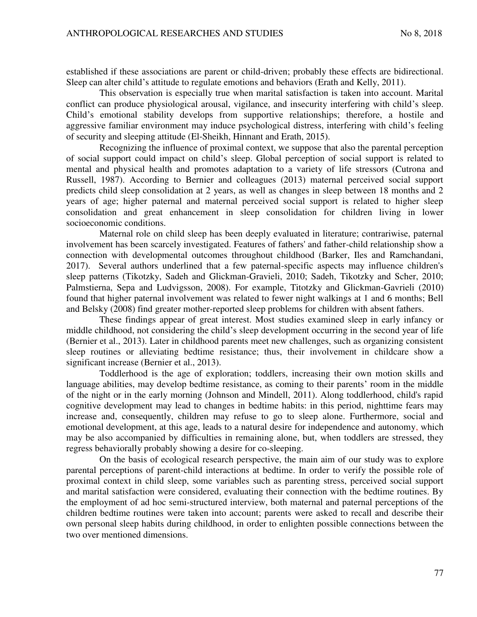established if these associations are parent or child-driven; probably these effects are bidirectional. Sleep can alter child's attitude to regulate emotions and behaviors (Erath and Kelly, 2011).

This observation is especially true when marital satisfaction is taken into account. Marital conflict can produce physiological arousal, vigilance, and insecurity interfering with child's sleep. Child's emotional stability develops from supportive relationships; therefore, a hostile and aggressive familiar environment may induce psychological distress, interfering with child's feeling of security and sleeping attitude (El‐Sheikh, Hinnant and Erath, 2015).

Recognizing the influence of proximal context, we suppose that also the parental perception of social support could impact on child's sleep. Global perception of social support is related to mental and physical health and promotes adaptation to a variety of life stressors (Cutrona and Russell, 1987). According to Bernier and colleagues (2013) maternal perceived social support predicts child sleep consolidation at 2 years, as well as changes in sleep between 18 months and 2 years of age; higher paternal and maternal perceived social support is related to higher sleep consolidation and great enhancement in sleep consolidation for children living in lower socioeconomic conditions.

Maternal role on child sleep has been deeply evaluated in literature; contrariwise, paternal involvement has been scarcely investigated. Features of fathers' and father-child relationship show a connection with developmental outcomes throughout childhood (Barker, Iles and Ramchandani, 2017). Several authors underlined that a few paternal-specific aspects may influence children's sleep patterns (Tikotzky, Sadeh and Glickman-Gravieli, 2010; Sadeh, Tikotzky and Scher, 2010; Palmstierna, Sepa and Ludvigsson, 2008). For example, Titotzky and Glickman-Gavrieli (2010) found that higher paternal involvement was related to fewer night walkings at 1 and 6 months; Bell and Belsky (2008) find greater mother-reported sleep problems for children with absent fathers.

These findings appear of great interest. Most studies examined sleep in early infancy or middle childhood, not considering the child's sleep development occurring in the second year of life (Bernier et al., 2013). Later in childhood parents meet new challenges, such as organizing consistent sleep routines or alleviating bedtime resistance; thus, their involvement in childcare show a significant increase (Bernier et al., 2013).

Toddlerhood is the age of exploration; toddlers, increasing their own motion skills and language abilities, may develop bedtime resistance, as coming to their parents' room in the middle of the night or in the early morning (Johnson and Mindell, 2011). Along toddlerhood, child's rapid cognitive development may lead to changes in bedtime habits: in this period, nighttime fears may increase and, consequently, children may refuse to go to sleep alone. Furthermore, social and emotional development, at this age, leads to a natural desire for independence and autonomy, which may be also accompanied by difficulties in remaining alone, but, when toddlers are stressed, they regress behaviorally probably showing a desire for co-sleeping.

On the basis of ecological research perspective, the main aim of our study was to explore parental perceptions of parent-child interactions at bedtime. In order to verify the possible role of proximal context in child sleep, some variables such as parenting stress, perceived social support and marital satisfaction were considered, evaluating their connection with the bedtime routines. By the employment of ad hoc semi-structured interview, both maternal and paternal perceptions of the children bedtime routines were taken into account; parents were asked to recall and describe their own personal sleep habits during childhood, in order to enlighten possible connections between the two over mentioned dimensions.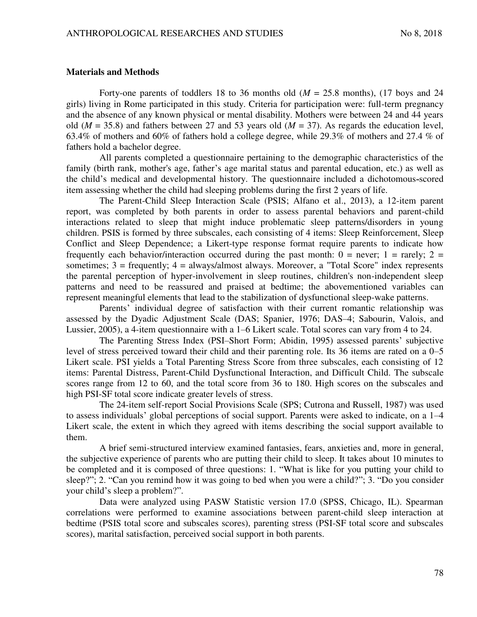#### **Materials and Methods**

Forty-one parents of toddlers 18 to 36 months old  $(M = 25.8 \text{ months})$ , (17 boys and 24 girls) living in Rome participated in this study. Criteria for participation were: full-term pregnancy and the absence of any known physical or mental disability. Mothers were between 24 and 44 years old ( $M = 35.8$ ) and fathers between 27 and 53 years old ( $M = 37$ ). As regards the education level, 63.4% of mothers and 60% of fathers hold a college degree, while 29.3% of mothers and 27.4 % of fathers hold a bachelor degree.

All parents completed a questionnaire pertaining to the demographic characteristics of the family (birth rank, mother's age, father's age marital status and parental education, etc.) as well as the child's medical and developmental history. The questionnaire included a dichotomous-scored item assessing whether the child had sleeping problems during the first 2 years of life.

The Parent-Child Sleep Interaction Scale (PSIS; Alfano et al., 2013), a 12-item parent report, was completed by both parents in order to assess parental behaviors and parent-child interactions related to sleep that might induce problematic sleep patterns/disorders in young children. PSIS is formed by three subscales, each consisting of 4 items: Sleep Reinforcement, Sleep Conflict and Sleep Dependence; a Likert-type response format require parents to indicate how frequently each behavior/interaction occurred during the past month:  $0 =$  never;  $1 =$  rarely;  $2 =$ sometimes;  $3 = \text{frequently}$ ;  $4 = \text{always/almost always}$ . Moreover, a "Total Score" index represents the parental perception of hyper-involvement in sleep routines, children's non-independent sleep patterns and need to be reassured and praised at bedtime; the abovementioned variables can represent meaningful elements that lead to the stabilization of dysfunctional sleep-wake patterns.

Parents' individual degree of satisfaction with their current romantic relationship was assessed by the Dyadic Adjustment Scale (DAS; Spanier, 1976; DAS–4; Sabourin, Valois, and Lussier, 2005), a 4-item questionnaire with a 1–6 Likert scale. Total scores can vary from 4 to 24.

The Parenting Stress Index (PSI–Short Form; Abidin, 1995) assessed parents' subjective level of stress perceived toward their child and their parenting role. Its 36 items are rated on a 0–5 Likert scale. PSI yields a Total Parenting Stress Score from three subscales, each consisting of 12 items: Parental Distress, Parent-Child Dysfunctional Interaction, and Difficult Child. The subscale scores range from 12 to 60, and the total score from 36 to 180. High scores on the subscales and high PSI-SF total score indicate greater levels of stress.

The 24-item self-report Social Provisions Scale (SPS; Cutrona and Russell, 1987) was used to assess individuals' global perceptions of social support. Parents were asked to indicate, on a 1–4 Likert scale, the extent in which they agreed with items describing the social support available to them.

A brief semi-structured interview examined fantasies, fears, anxieties and, more in general, the subjective experience of parents who are putting their child to sleep. It takes about 10 minutes to be completed and it is composed of three questions: 1. "What is like for you putting your child to sleep?"; 2. "Can you remind how it was going to bed when you were a child?"; 3. "Do you consider your child's sleep a problem?".

Data were analyzed using PASW Statistic version 17.0 (SPSS, Chicago, IL). Spearman correlations were performed to examine associations between parent-child sleep interaction at bedtime (PSIS total score and subscales scores), parenting stress (PSI-SF total score and subscales scores), marital satisfaction, perceived social support in both parents.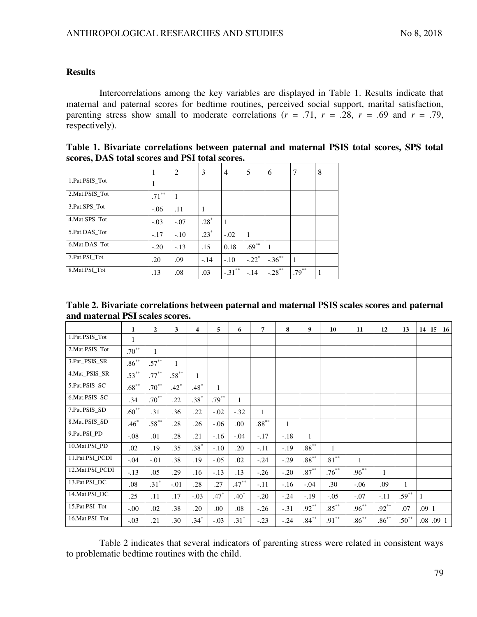### **Results**

Intercorrelations among the key variables are displayed in Table 1. Results indicate that maternal and paternal scores for bedtime routines, perceived social support, marital satisfaction, parenting stress show small to moderate correlations ( $r = .71$ ,  $r = .28$ ,  $r = .69$  and  $r = .79$ , respectively).

| stores, DAS total stores and I SI total stores. |          |        |        |           |                     |                      |          |   |  |  |
|-------------------------------------------------|----------|--------|--------|-----------|---------------------|----------------------|----------|---|--|--|
|                                                 |          | 2      | 3      | 4         | 5                   | 6                    |          | 8 |  |  |
| 1.Pat.PSIS Tot                                  |          |        |        |           |                     |                      |          |   |  |  |
| 2. Mat. PSIS Tot                                | $.71***$ |        |        |           |                     |                      |          |   |  |  |
| 3.Pat.SPS Tot                                   | $-.06$   | .11    |        |           |                     |                      |          |   |  |  |
| 4. Mat.SPS Tot                                  | $-.03$   | $-.07$ | $.28*$ |           |                     |                      |          |   |  |  |
| 5.Pat.DAS_Tot                                   | $-.17$   | $-.10$ | $.23*$ | $-.02$    |                     |                      |          |   |  |  |
| 6. Mat. DAS Tot                                 | $-.20$   | $-.13$ | .15    | 0.18      | $.69***$            |                      |          |   |  |  |
| 7.Pat.PSI Tot                                   | .20      | .09    | $-.14$ | $-.10$    | $-.22$ <sup>*</sup> | $-.36***$            |          |   |  |  |
| 8. Mat. PSI Tot                                 | .13      | .08    | .03    | $-.31***$ | $-.14$              | $-.28$ <sup>**</sup> | $.79***$ |   |  |  |

| Table 1. Bivariate correlations between paternal and maternal PSIS total scores, SPS total |  |  |  |  |  |  |  |  |
|--------------------------------------------------------------------------------------------|--|--|--|--|--|--|--|--|
| scores, DAS total scores and PSI total scores.                                             |  |  |  |  |  |  |  |  |

| Table 2. Bivariate correlations between paternal and maternal PSIS scales scores and paternal |  |
|-----------------------------------------------------------------------------------------------|--|
| and maternal PSI scales scores.                                                               |  |

|                   | $\mathbf{1}$ | $\overline{2}$ | 3            | 4            | 5        | 6            | 7                | 8            | 9        | 10           | 11           | 12       | 13           | 14 15     | 16 |
|-------------------|--------------|----------------|--------------|--------------|----------|--------------|------------------|--------------|----------|--------------|--------------|----------|--------------|-----------|----|
| 1.Pat.PSIS_Tot    | 1            |                |              |              |          |              |                  |              |          |              |              |          |              |           |    |
| 2.Mat.PSIS_Tot    | $.70^{**}$   | $\mathbf{1}$   |              |              |          |              |                  |              |          |              |              |          |              |           |    |
| 3.Pat_PSIS_SR     | $.86***$     | $.57***$       | $\mathbf{1}$ |              |          |              |                  |              |          |              |              |          |              |           |    |
| 4.Mat_PSIS_SR     | $.53***$     | $.77***$       | $.58***$     | $\mathbf{1}$ |          |              |                  |              |          |              |              |          |              |           |    |
| 5.Pat.PSIS_SC     | $.68***$     | $.70***$       | $.42*$       | $.48*$       | 1        |              |                  |              |          |              |              |          |              |           |    |
| 6.Mat.PSIS_SC     | .34          | $.70***$       | .22          | $.38*$       | $.79***$ | $\mathbf{1}$ |                  |              |          |              |              |          |              |           |    |
| 7.Pat.PSIS_SD     | $.60***$     | .31            | .36          | .22          | $-.02$   | $-.32$       | $\mathbf{1}$     |              |          |              |              |          |              |           |    |
| 8.Mat.PSIS_SD     | $.46*$       | $.58***$       | .28          | .26          | $-.06$   | .00          | $.88^{\ast\ast}$ | $\mathbf{1}$ |          |              |              |          |              |           |    |
| 9.Pat.PSI_PD      | $-.08$       | .01            | .28          | .21          | $-.16$   | $-.04$       | $-.17$           | $-.18$       | 1        |              |              |          |              |           |    |
| 10.Mat.PSI_PD     | .02          | .19            | .35          | $.38*$       | $-.10$   | .20          | $-.11$           | $-.19$       | $.88***$ | $\mathbf{1}$ |              |          |              |           |    |
| 11.Pat.PSI_PCDI   | $-.04$       | $-.01$         | .38          | .19          | $-.05$   | .02          | $-.24$           | $-.29$       | $.88***$ | $.81***$     | $\mathbf{1}$ |          |              |           |    |
| 12. Mat. PSI_PCDI | $-.13$       | .05            | .29          | .16          | $-.13$   | .13          | $-.26$           | $-.20$       | $.87***$ | $.76***$     | $.96***$     | 1        |              |           |    |
| 13.Pat.PSI_DC     | .08          | $.31*$         | $-.01$       | .28          | .27      | $.47***$     | $-.11$           | $-.16$       | $-.04$   | .30          | $-0.06$      | .09      | $\mathbf{1}$ |           |    |
| 14. Mat. PSI_DC   | .25          | .11            | .17          | $-.03$       | $.47*$   | $.40*$       | $-.20$           | $-.24$       | $-.19$   | $-.05$       | $-.07$       | $-.11$   | $.59***$     | 1         |    |
| 15.Pat.PSI_Tot    | $-.00$       | .02            | .38          | .20          | .00      | .08          | $-.26$           | $-.31$       | $.92***$ | $.85***$     | $.96***$     | $.92***$ | .07          | .09 1     |    |
| 16.Mat.PSI_Tot    | $-.03$       | .21            | .30          | $.34*$       | $-.03$   | $.31*$       | $-.23$           | $-.24$       | $.84***$ | $.91***$     | $.86***$     | $.86***$ | $.50***$     | .08 .09 1 |    |

Table 2 indicates that several indicators of parenting stress were related in consistent ways to problematic bedtime routines with the child.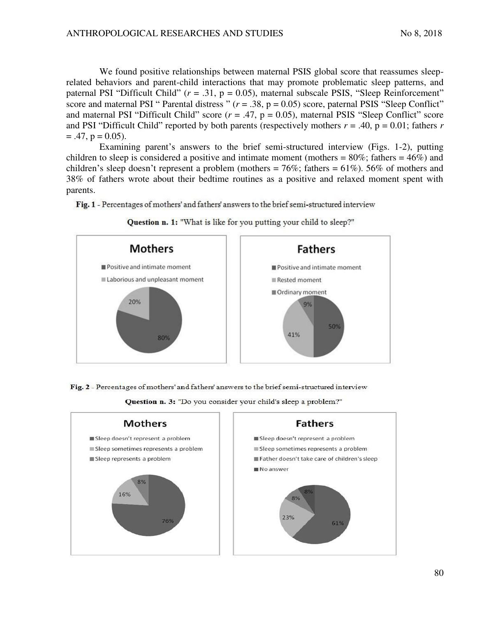We found positive relationships between maternal PSIS global score that reassumes sleeprelated behaviors and parent-child interactions that may promote problematic sleep patterns, and paternal PSI "Difficult Child" ( $r = .31$ ,  $p = 0.05$ ), maternal subscale PSIS, "Sleep Reinforcement" score and maternal PSI " Parental distress "  $(r = .38, p = 0.05)$  score, paternal PSIS "Sleep Conflict" and maternal PSI "Difficult Child" score  $(r = .47, p = 0.05)$ , maternal PSIS "Sleep Conflict" score and PSI "Difficult Child" reported by both parents (respectively mothers  $r = .40$ ,  $p = 0.01$ ; fathers  $r = .40$  $= .47$ ,  $p = 0.05$ ).

Examining parent's answers to the brief semi-structured interview (Figs. 1-2), putting children to sleep is considered a positive and intimate moment (mothers =  $80\%$ ; fathers =  $46\%$ ) and children's sleep doesn't represent a problem (mothers =  $76\%$ ; fathers =  $61\%$ ).  $56\%$  of mothers and 38% of fathers wrote about their bedtime routines as a positive and relaxed moment spent with parents.

Fig. 1 - Percentages of mothers' and fathers' answers to the brief semi-structured interview



Question n. 1: "What is like for you putting your child to sleep?"

Fig. 2 - Percentages of mothers' and fathers' answers to the brief semi-structured interview



Question n. 3: "Do you consider your child's sleep a problem?"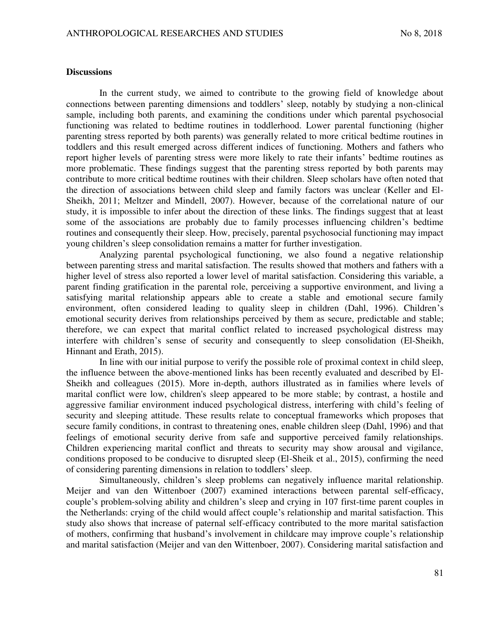#### **Discussions**

In the current study, we aimed to contribute to the growing field of knowledge about connections between parenting dimensions and toddlers' sleep, notably by studying a non-clinical sample, including both parents, and examining the conditions under which parental psychosocial functioning was related to bedtime routines in toddlerhood. Lower parental functioning (higher parenting stress reported by both parents) was generally related to more critical bedtime routines in toddlers and this result emerged across different indices of functioning. Mothers and fathers who report higher levels of parenting stress were more likely to rate their infants' bedtime routines as more problematic. These findings suggest that the parenting stress reported by both parents may contribute to more critical bedtime routines with their children. Sleep scholars have often noted that the direction of associations between child sleep and family factors was unclear (Keller and El-Sheikh, 2011; Meltzer and Mindell, 2007). However, because of the correlational nature of our study, it is impossible to infer about the direction of these links. The findings suggest that at least some of the associations are probably due to family processes influencing children's bedtime routines and consequently their sleep. How, precisely, parental psychosocial functioning may impact young children's sleep consolidation remains a matter for further investigation.

Analyzing parental psychological functioning, we also found a negative relationship between parenting stress and marital satisfaction. The results showed that mothers and fathers with a higher level of stress also reported a lower level of marital satisfaction. Considering this variable, a parent finding gratification in the parental role, perceiving a supportive environment, and living a satisfying marital relationship appears able to create a stable and emotional secure family environment, often considered leading to quality sleep in children (Dahl, 1996). Children's emotional security derives from relationships perceived by them as secure, predictable and stable; therefore, we can expect that marital conflict related to increased psychological distress may interfere with children's sense of security and consequently to sleep consolidation (El-Sheikh, Hinnant and Erath, 2015).

In line with our initial purpose to verify the possible role of proximal context in child sleep, the influence between the above-mentioned links has been recently evaluated and described by El-Sheikh and colleagues (2015). More in-depth, authors illustrated as in families where levels of marital conflict were low, children's sleep appeared to be more stable; by contrast, a hostile and aggressive familiar environment induced psychological distress, interfering with child's feeling of security and sleeping attitude. These results relate to conceptual frameworks which proposes that secure family conditions, in contrast to threatening ones, enable children sleep (Dahl, 1996) and that feelings of emotional security derive from safe and supportive perceived family relationships. Children experiencing marital conflict and threats to security may show arousal and vigilance, conditions proposed to be conducive to disrupted sleep (El-Sheik et al., 2015), confirming the need of considering parenting dimensions in relation to toddlers' sleep.

Simultaneously, children's sleep problems can negatively influence marital relationship. Meijer and van den Wittenboer (2007) examined interactions between parental self-efficacy, couple's problem-solving ability and children's sleep and crying in 107 first-time parent couples in the Netherlands: crying of the child would affect couple's relationship and marital satisfaction. This study also shows that increase of paternal self-efficacy contributed to the more marital satisfaction of mothers, confirming that husband's involvement in childcare may improve couple's relationship and marital satisfaction (Meijer and van den Wittenboer, 2007). Considering marital satisfaction and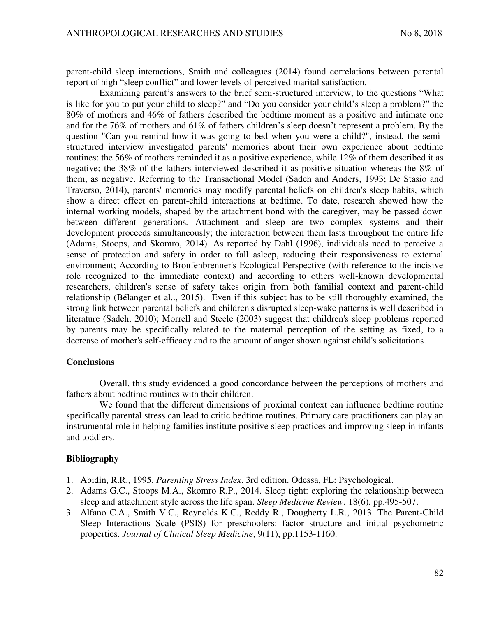parent-child sleep interactions, Smith and colleagues (2014) found correlations between parental report of high "sleep conflict" and lower levels of perceived marital satisfaction.

Examining parent's answers to the brief semi-structured interview, to the questions "What is like for you to put your child to sleep?" and "Do you consider your child's sleep a problem?" the 80% of mothers and 46% of fathers described the bedtime moment as a positive and intimate one and for the 76% of mothers and 61% of fathers children's sleep doesn't represent a problem. By the question "Can you remind how it was going to bed when you were a child?", instead, the semistructured interview investigated parents' memories about their own experience about bedtime routines: the 56% of mothers reminded it as a positive experience, while 12% of them described it as negative; the 38% of the fathers interviewed described it as positive situation whereas the 8% of them, as negative. Referring to the Transactional Model (Sadeh and Anders, 1993; De Stasio and Traverso, 2014), parents' memories may modify parental beliefs on children's sleep habits, which show a direct effect on parent-child interactions at bedtime. To date, research showed how the internal working models, shaped by the attachment bond with the caregiver, may be passed down between different generations*.* Attachment and sleep are two complex systems and their development proceeds simultaneously; the interaction between them lasts throughout the entire life (Adams, Stoops, and Skomro, 2014). As reported by Dahl (1996), individuals need to perceive a sense of protection and safety in order to fall asleep, reducing their responsiveness to external environment; According to Bronfenbrenner's Ecological Perspective (with reference to the incisive role recognized to the immediate context) and according to others well-known developmental researchers, children's sense of safety takes origin from both familial context and parent-child relationship (Bélanger et al.., 2015). Even if this subject has to be still thoroughly examined, the strong link between parental beliefs and children's disrupted sleep-wake patterns is well described in literature (Sadeh, 2010); Morrell and Steele (2003) suggest that children's sleep problems reported by parents may be specifically related to the maternal perception of the setting as fixed, to a decrease of mother's self-efficacy and to the amount of anger shown against child's solicitations.

#### **Conclusions**

Overall, this study evidenced a good concordance between the perceptions of mothers and fathers about bedtime routines with their children.

We found that the different dimensions of proximal context can influence bedtime routine specifically parental stress can lead to critic bedtime routines. Primary care practitioners can play an instrumental role in helping families institute positive sleep practices and improving sleep in infants and toddlers.

### **Bibliography**

- 1. Abidin, R.R., 1995. *Parenting Stress Index*. 3rd edition. Odessa, FL: Psychological.
- 2. Adams G.C., Stoops M.A., Skomro R.P., 2014. Sleep tight: exploring the relationship between sleep and attachment style across the life span. *Sleep Medicine Review*, 18(6), pp.495-507.
- 3. Alfano C.A., Smith V.C., Reynolds K.C., Reddy R., Dougherty L.R., 2013. The Parent-Child Sleep Interactions Scale (PSIS) for preschoolers: factor structure and initial psychometric properties. *Journal of Clinical Sleep Medicine*, 9(11), pp.1153-1160.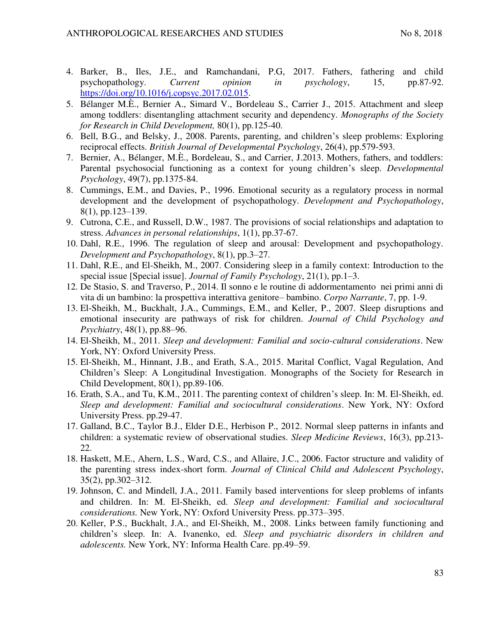- 4. Barker, B., Iles, J.E., and Ramchandani, P.G, 2017. Fathers, fathering and child psychopathology. *Current opinion in psychology*, 15, pp.87-92. [https://doi.org/10.1016/j.copsyc.2017.02.015.](https://doi.org/10.1016/j.copsyc.2017.02.015)
- 5. Bélanger M.È., Bernier A., Simard V., Bordeleau S., Carrier J., 2015. Attachment and sleep among toddlers: disentangling attachment security and dependency. *Monographs of the Society for Research in Child Development,* 80(1), pp.125-40.
- 6. Bell, B.G., and Belsky, J., 2008. Parents, parenting, and children's sleep problems: Exploring reciprocal effects. *British Journal of Developmental Psychology*, 26(4), pp.579-593.
- 7. Bernier, A., Bélanger, M.È., Bordeleau, S., and Carrier, J.2013. Mothers, fathers, and toddlers: Parental psychosocial functioning as a context for young children's sleep. *Developmental Psychology*, 49(7), pp.1375-84.
- 8. Cummings, E.M., and Davies, P., 1996. Emotional security as a regulatory process in normal development and the development of psychopathology. *Development and Psychopathology*, 8(1), pp.123–139.
- 9. Cutrona, C.E., and Russell, D.W., 1987. The provisions of social relationships and adaptation to stress. *Advances in personal relationships*, 1(1), pp.37-67.
- 10. Dahl, R.E., 1996. The regulation of sleep and arousal: Development and psychopathology. *Development and Psychopathology*, 8(1), pp.3–27.
- 11. Dahl, R.E., and El-Sheikh, M., 2007. Considering sleep in a family context: Introduction to the special issue [Special issue]. *Journal of Family Psychology*, 21(1), pp.1–3.
- 12. De Stasio, S. and Traverso, P., 2014. Il sonno e le routine di addormentamento nei primi anni di vita di un bambino: la prospettiva interattiva genitore– bambino. *Corpo Narrante*, 7, pp. 1-9.
- 13. El-Sheikh, M., Buckhalt, J.A., Cummings, E.M., and Keller, P., 2007. Sleep disruptions and emotional insecurity are pathways of risk for children. *Journal of Child Psychology and Psychiatry*, 48(1), pp.88–96.
- 14. El-Sheikh, M., 2011. *Sleep and development: Familial and socio-cultural considerations*. New York, NY: Oxford University Press.
- 15. El-Sheikh, M., Hinnant, J.B., and Erath, S.A., 2015. Marital Conflict, Vagal Regulation, And Children's Sleep: A Longitudinal Investigation. Monographs of the Society for Research in Child Development, 80(1), pp.89-106.
- 16. Erath, S.A., and Tu, K.M., 2011. The parenting context of children's sleep. In: M. El-Sheikh, ed. *Sleep and development: Familial and sociocultural considerations*. New York, NY: Oxford University Press. pp.29-47.
- 17. Galland, B.C., Taylor B.J., Elder D.E., Herbison P., 2012. Normal sleep patterns in infants and children: a systematic review of observational studies. *Sleep Medicine Reviews*, 16(3), pp.213- 22.
- 18. Haskett, M.E., Ahern, L.S., Ward, C.S., and Allaire, J.C., 2006. Factor structure and validity of the parenting stress index-short form. *Journal of Clinical Child and Adolescent Psychology*, 35(2), pp.302–312.
- 19. Johnson, C. and Mindell, J.A., 2011. Family based interventions for sleep problems of infants and children. In: M. El-Sheikh, ed. *Sleep and development: Familial and sociocultural considerations.* New York, NY: Oxford University Press. pp.373–395.
- 20. Keller, P.S., Buckhalt, J.A., and El-Sheikh, M., 2008. Links between family functioning and children's sleep. In: A. Ivanenko, ed. *Sleep and psychiatric disorders in children and adolescents.* New York, NY: Informa Health Care. pp.49–59.